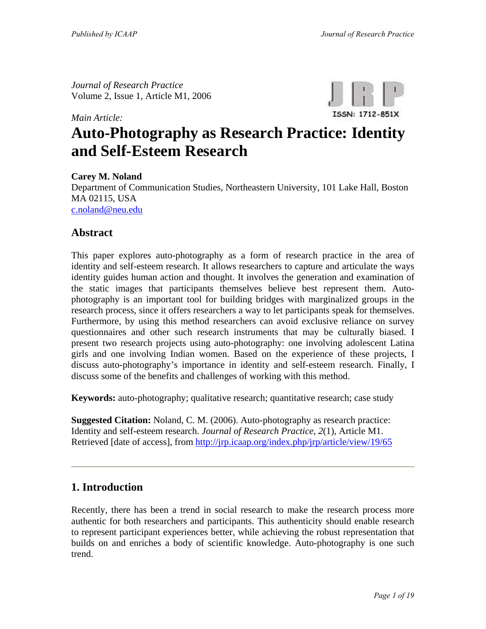*Journal of Research Practice*  Volume 2, Issue 1, Article M1, 2006

*Main Article:*



# **Auto-Photography as Research Practice: Identity and Self-Esteem Research**

**Carey M. Noland**

Department of Communication Studies, Northeastern University, 101 Lake Hall, Boston MA 02115, USA [c.noland@neu.edu](mailto:c.noland@neu.edu) 

#### **Abstract**

This paper explores auto-photography as a form of research practice in the area of identity and self-esteem research. It allows researchers to capture and articulate the ways identity guides human action and thought. It involves the generation and examination of the static images that participants themselves believe best represent them. Autophotography is an important tool for building bridges with marginalized groups in the research process, since it offers researchers a way to let participants speak for themselves. Furthermore, by using this method researchers can avoid exclusive reliance on survey questionnaires and other such research instruments that may be culturally biased. I present two research projects using auto-photography: one involving adolescent Latina girls and one involving Indian women. Based on the experience of these projects, I discuss auto-photography's importance in identity and self-esteem research. Finally, I discuss some of the benefits and challenges of working with this method.

**Keywords:** auto-photography; qualitative research; quantitative research; case study

**Suggested Citation:** Noland, C. M. (2006). Auto-photography as research practice: Identity and self-esteem research. *Journal of Research Practice, 2*(1), Article M1. Retrieved [date of access], from<http://jrp.icaap.org/index.php/jrp/article/view/19/65>

#### **1. Introduction**

Recently, there has been a trend in social research to make the research process more authentic for both researchers and participants. This authenticity should enable research to represent participant experiences better, while achieving the robust representation that builds on and enriches a body of scientific knowledge. Auto-photography is one such trend.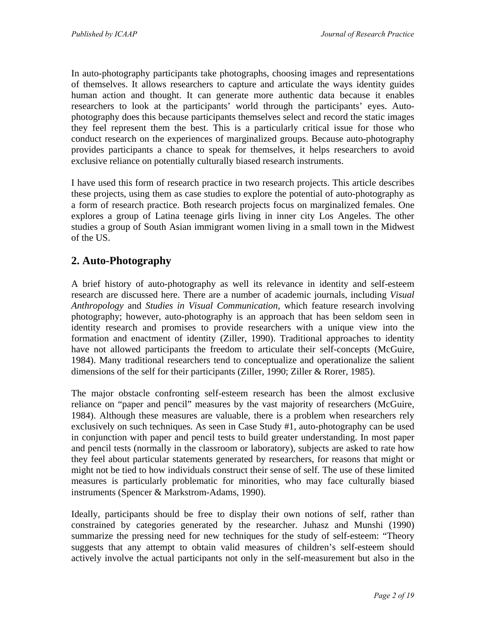In auto-photography participants take photographs, choosing images and representations of themselves. It allows researchers to capture and articulate the ways identity guides human action and thought. It can generate more authentic data because it enables researchers to look at the participants' world through the participants' eyes. Autophotography does this because participants themselves select and record the static images they feel represent them the best. This is a particularly critical issue for those who conduct research on the experiences of marginalized groups. Because auto-photography provides participants a chance to speak for themselves, it helps researchers to avoid exclusive reliance on potentially culturally biased research instruments.

I have used this form of research practice in two research projects. This article describes these projects, using them as case studies to explore the potential of auto-photography as a form of research practice. Both research projects focus on marginalized females. One explores a group of Latina teenage girls living in inner city Los Angeles. The other studies a group of South Asian immigrant women living in a small town in the Midwest of the US.

## **2. Auto-Photography**

A brief history of auto-photography as well its relevance in identity and self-esteem research are discussed here. There are a number of academic journals, including *Visual Anthropology* and *Studies in Visual Communication,* which feature research involving photography; however, auto-photography is an approach that has been seldom seen in identity research and promises to provide researchers with a unique view into the formation and enactment of identity (Ziller, 1990). Traditional approaches to identity have not allowed participants the freedom to articulate their self-concepts (McGuire, 1984). Many traditional researchers tend to conceptualize and operationalize the salient dimensions of the self for their participants (Ziller, 1990; Ziller & Rorer, 1985).

The major obstacle confronting self-esteem research has been the almost exclusive reliance on "paper and pencil" measures by the vast majority of researchers (McGuire, 1984). Although these measures are valuable, there is a problem when researchers rely exclusively on such techniques. As seen in Case Study #1, auto-photography can be used in conjunction with paper and pencil tests to build greater understanding. In most paper and pencil tests (normally in the classroom or laboratory), subjects are asked to rate how they feel about particular statements generated by researchers, for reasons that might or might not be tied to how individuals construct their sense of self. The use of these limited measures is particularly problematic for minorities, who may face culturally biased instruments (Spencer & Markstrom-Adams, 1990).

Ideally, participants should be free to display their own notions of self, rather than constrained by categories generated by the researcher. Juhasz and Munshi (1990) summarize the pressing need for new techniques for the study of self-esteem: "Theory suggests that any attempt to obtain valid measures of children's self-esteem should actively involve the actual participants not only in the self-measurement but also in the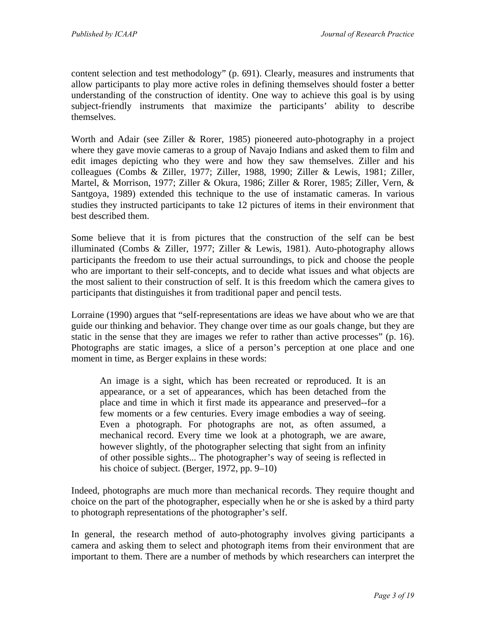content selection and test methodology" (p. 691). Clearly, measures and instruments that allow participants to play more active roles in defining themselves should foster a better understanding of the construction of identity. One way to achieve this goal is by using subject-friendly instruments that maximize the participants' ability to describe themselves.

Worth and Adair (see Ziller & Rorer, 1985) pioneered auto-photography in a project where they gave movie cameras to a group of Navajo Indians and asked them to film and edit images depicting who they were and how they saw themselves. Ziller and his colleagues (Combs & Ziller, 1977; Ziller, 1988, 1990; Ziller & Lewis, 1981; Ziller, Martel, & Morrison, 1977; Ziller & Okura, 1986; Ziller & Rorer, 1985; Ziller, Vern, & Santgoya, 1989) extended this technique to the use of instamatic cameras. In various studies they instructed participants to take 12 pictures of items in their environment that best described them.

Some believe that it is from pictures that the construction of the self can be best illuminated (Combs & Ziller, 1977; Ziller & Lewis, 1981). Auto-photography allows participants the freedom to use their actual surroundings, to pick and choose the people who are important to their self-concepts, and to decide what issues and what objects are the most salient to their construction of self. It is this freedom which the camera gives to participants that distinguishes it from traditional paper and pencil tests.

Lorraine (1990) argues that "self-representations are ideas we have about who we are that guide our thinking and behavior. They change over time as our goals change, but they are static in the sense that they are images we refer to rather than active processes" (p. 16). Photographs are static images, a slice of a person's perception at one place and one moment in time, as Berger explains in these words:

An image is a sight, which has been recreated or reproduced. It is an appearance, or a set of appearances, which has been detached from the place and time in which it first made its appearance and preserved--for a few moments or a few centuries. Every image embodies a way of seeing. Even a photograph. For photographs are not, as often assumed, a mechanical record. Every time we look at a photograph, we are aware, however slightly, of the photographer selecting that sight from an infinity of other possible sights... The photographer's way of seeing is reflected in his choice of subject. (Berger, 1972, pp. 9–10)

Indeed, photographs are much more than mechanical records. They require thought and choice on the part of the photographer, especially when he or she is asked by a third party to photograph representations of the photographer's self.

In general, the research method of auto-photography involves giving participants a camera and asking them to select and photograph items from their environment that are important to them. There are a number of methods by which researchers can interpret the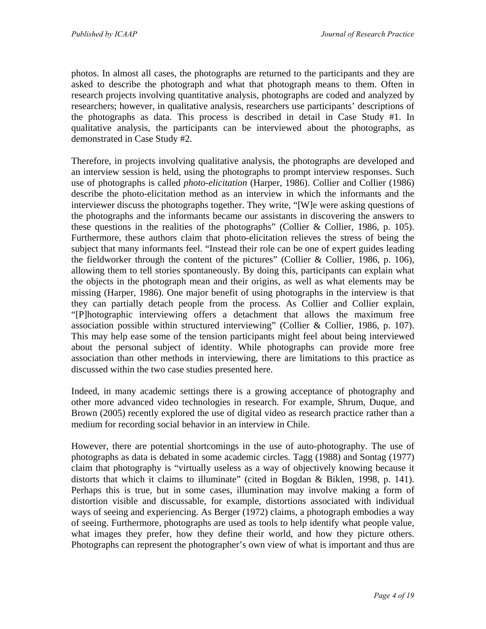photos. In almost all cases, the photographs are returned to the participants and they are asked to describe the photograph and what that photograph means to them. Often in research projects involving quantitative analysis, photographs are coded and analyzed by researchers; however, in qualitative analysis, researchers use participants' descriptions of the photographs as data. This process is described in detail in Case Study #1. In qualitative analysis, the participants can be interviewed about the photographs, as demonstrated in Case Study #2.

Therefore, in projects involving qualitative analysis, the photographs are developed and an interview session is held, using the photographs to prompt interview responses. Such use of photographs is called *photo-elicitation* (Harper, 1986). Collier and Collier (1986) describe the photo-elicitation method as an interview in which the informants and the interviewer discuss the photographs together. They write, "[W]e were asking questions of the photographs and the informants became our assistants in discovering the answers to these questions in the realities of the photographs" (Collier & Collier, 1986, p. 105). Furthermore, these authors claim that photo-elicitation relieves the stress of being the subject that many informants feel. "Instead their role can be one of expert guides leading the fieldworker through the content of the pictures" (Collier & Collier, 1986, p. 106), allowing them to tell stories spontaneously. By doing this, participants can explain what the objects in the photograph mean and their origins, as well as what elements may be missing (Harper, 1986). One major benefit of using photographs in the interview is that they can partially detach people from the process. As Collier and Collier explain, "[P]hotographic interviewing offers a detachment that allows the maximum free association possible within structured interviewing" (Collier & Collier, 1986, p. 107). This may help ease some of the tension participants might feel about being interviewed about the personal subject of identity. While photographs can provide more free association than other methods in interviewing, there are limitations to this practice as discussed within the two case studies presented here.

Indeed, in many academic settings there is a growing acceptance of photography and other more advanced video technologies in research. For example, Shrum, Duque, and Brown (2005) recently explored the use of digital video as research practice rather than a medium for recording social behavior in an interview in Chile.

However, there are potential shortcomings in the use of auto-photography. The use of photographs as data is debated in some academic circles. Tagg (1988) and Sontag (1977) claim that photography is "virtually useless as a way of objectively knowing because it distorts that which it claims to illuminate" (cited in Bogdan & Biklen, 1998, p. 141). Perhaps this is true, but in some cases, illumination may involve making a form of distortion visible and discussable, for example, distortions associated with individual ways of seeing and experiencing. As Berger (1972) claims, a photograph embodies a way of seeing. Furthermore, photographs are used as tools to help identify what people value, what images they prefer, how they define their world, and how they picture others. Photographs can represent the photographer's own view of what is important and thus are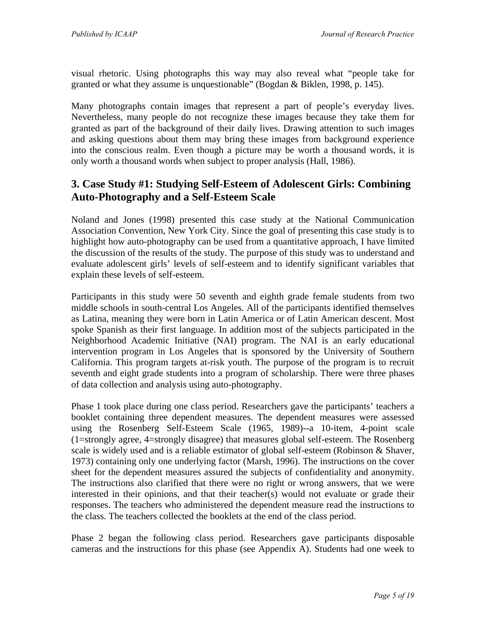visual rhetoric. Using photographs this way may also reveal what "people take for granted or what they assume is unquestionable" (Bogdan & Biklen, 1998, p. 145).

Many photographs contain images that represent a part of people's everyday lives. Nevertheless, many people do not recognize these images because they take them for granted as part of the background of their daily lives. Drawing attention to such images and asking questions about them may bring these images from background experience into the conscious realm. Even though a picture may be worth a thousand words, it is only worth a thousand words when subject to proper analysis (Hall, 1986).

## **3. Case Study #1: Studying Self-Esteem of Adolescent Girls: Combining Auto-Photography and a Self-Esteem Scale**

Noland and Jones (1998) presented this case study at the National Communication Association Convention, New York City. Since the goal of presenting this case study is to highlight how auto-photography can be used from a quantitative approach, I have limited the discussion of the results of the study. The purpose of this study was to understand and evaluate adolescent girls' levels of self-esteem and to identify significant variables that explain these levels of self-esteem.

Participants in this study were 50 seventh and eighth grade female students from two middle schools in south-central Los Angeles. All of the participants identified themselves as Latina, meaning they were born in Latin America or of Latin American descent. Most spoke Spanish as their first language. In addition most of the subjects participated in the Neighborhood Academic Initiative (NAI) program. The NAI is an early educational intervention program in Los Angeles that is sponsored by the University of Southern California. This program targets at-risk youth. The purpose of the program is to recruit seventh and eight grade students into a program of scholarship. There were three phases of data collection and analysis using auto-photography.

Phase 1 took place during one class period. Researchers gave the participants' teachers a booklet containing three dependent measures. The dependent measures were assessed using the Rosenberg Self-Esteem Scale (1965, 1989)--a 10-item, 4-point scale (1=strongly agree, 4=strongly disagree) that measures global self-esteem. The Rosenberg scale is widely used and is a reliable estimator of global self-esteem (Robinson & Shaver, 1973) containing only one underlying factor (Marsh, 1996). The instructions on the cover sheet for the dependent measures assured the subjects of confidentiality and anonymity. The instructions also clarified that there were no right or wrong answers, that we were interested in their opinions, and that their teacher(s) would not evaluate or grade their responses. The teachers who administered the dependent measure read the instructions to the class. The teachers collected the booklets at the end of the class period.

Phase 2 began the following class period. Researchers gave participants disposable cameras and the instructions for this phase (see Appendix A). Students had one week to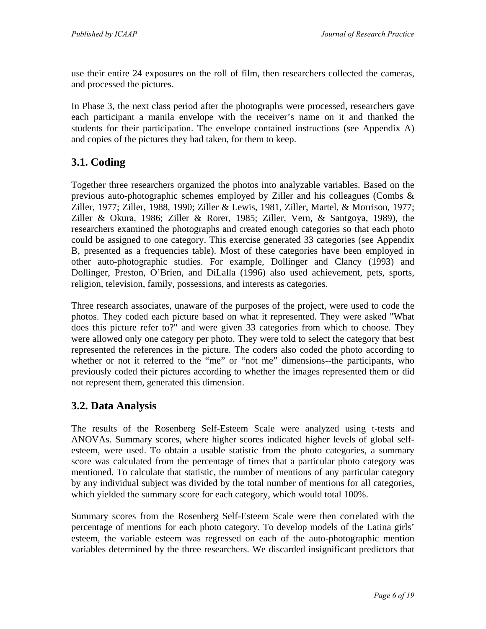use their entire 24 exposures on the roll of film, then researchers collected the cameras, and processed the pictures.

In Phase 3, the next class period after the photographs were processed, researchers gave each participant a manila envelope with the receiver's name on it and thanked the students for their participation. The envelope contained instructions (see Appendix A) and copies of the pictures they had taken, for them to keep.

## **3.1. Coding**

Together three researchers organized the photos into analyzable variables. Based on the previous auto-photographic schemes employed by Ziller and his colleagues (Combs & Ziller, 1977; Ziller, 1988, 1990; Ziller & Lewis, 1981, Ziller, Martel, & Morrison, 1977; Ziller & Okura, 1986; Ziller & Rorer, 1985; Ziller, Vern, & Santgoya, 1989), the researchers examined the photographs and created enough categories so that each photo could be assigned to one category. This exercise generated 33 categories (see Appendix B, presented as a frequencies table). Most of these categories have been employed in other auto-photographic studies. For example, Dollinger and Clancy (1993) and Dollinger, Preston, O'Brien, and DiLalla (1996) also used achievement, pets, sports, religion, television, family, possessions, and interests as categories.

Three research associates, unaware of the purposes of the project, were used to code the photos. They coded each picture based on what it represented. They were asked "What does this picture refer to?" and were given 33 categories from which to choose. They were allowed only one category per photo. They were told to select the category that best represented the references in the picture. The coders also coded the photo according to whether or not it referred to the "me" or "not me" dimensions--the participants, who previously coded their pictures according to whether the images represented them or did not represent them, generated this dimension.

#### **3.2. Data Analysis**

The results of the Rosenberg Self-Esteem Scale were analyzed using t-tests and ANOVAs. Summary scores, where higher scores indicated higher levels of global selfesteem, were used. To obtain a usable statistic from the photo categories, a summary score was calculated from the percentage of times that a particular photo category was mentioned. To calculate that statistic, the number of mentions of any particular category by any individual subject was divided by the total number of mentions for all categories, which yielded the summary score for each category, which would total 100%.

Summary scores from the Rosenberg Self-Esteem Scale were then correlated with the percentage of mentions for each photo category. To develop models of the Latina girls' esteem, the variable esteem was regressed on each of the auto-photographic mention variables determined by the three researchers. We discarded insignificant predictors that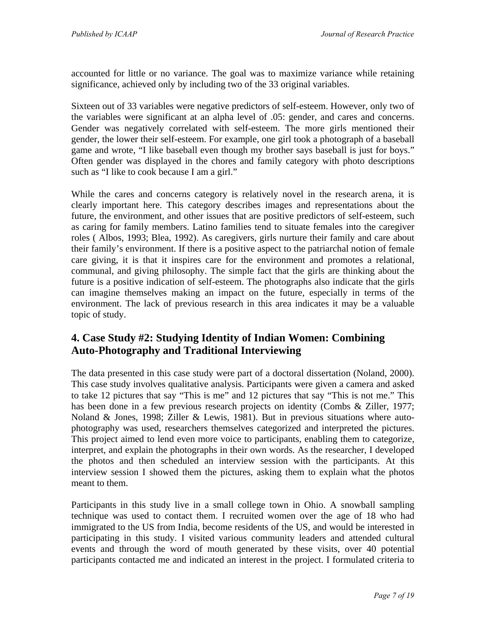accounted for little or no variance. The goal was to maximize variance while retaining significance, achieved only by including two of the 33 original variables.

Sixteen out of 33 variables were negative predictors of self-esteem. However, only two of the variables were significant at an alpha level of .05: gender, and cares and concerns. Gender was negatively correlated with self-esteem. The more girls mentioned their gender, the lower their self-esteem. For example, one girl took a photograph of a baseball game and wrote, "I like baseball even though my brother says baseball is just for boys." Often gender was displayed in the chores and family category with photo descriptions such as "I like to cook because I am a girl."

While the cares and concerns category is relatively novel in the research arena, it is clearly important here. This category describes images and representations about the future, the environment, and other issues that are positive predictors of self-esteem, such as caring for family members. Latino families tend to situate females into the caregiver roles ( Albos, 1993; Blea, 1992). As caregivers, girls nurture their family and care about their family's environment. If there is a positive aspect to the patriarchal notion of female care giving, it is that it inspires care for the environment and promotes a relational, communal, and giving philosophy. The simple fact that the girls are thinking about the future is a positive indication of self-esteem. The photographs also indicate that the girls can imagine themselves making an impact on the future, especially in terms of the environment. The lack of previous research in this area indicates it may be a valuable topic of study.

## **4. Case Study #2: Studying Identity of Indian Women: Combining Auto-Photography and Traditional Interviewing**

The data presented in this case study were part of a doctoral dissertation (Noland, 2000). This case study involves qualitative analysis. Participants were given a camera and asked to take 12 pictures that say "This is me" and 12 pictures that say "This is not me." This has been done in a few previous research projects on identity (Combs & Ziller, 1977; Noland & Jones, 1998; Ziller & Lewis, 1981). But in previous situations where autophotography was used, researchers themselves categorized and interpreted the pictures. This project aimed to lend even more voice to participants, enabling them to categorize, interpret, and explain the photographs in their own words. As the researcher, I developed the photos and then scheduled an interview session with the participants. At this interview session I showed them the pictures, asking them to explain what the photos meant to them.

Participants in this study live in a small college town in Ohio. A snowball sampling technique was used to contact them. I recruited women over the age of 18 who had immigrated to the US from India, become residents of the US, and would be interested in participating in this study. I visited various community leaders and attended cultural events and through the word of mouth generated by these visits, over 40 potential participants contacted me and indicated an interest in the project. I formulated criteria to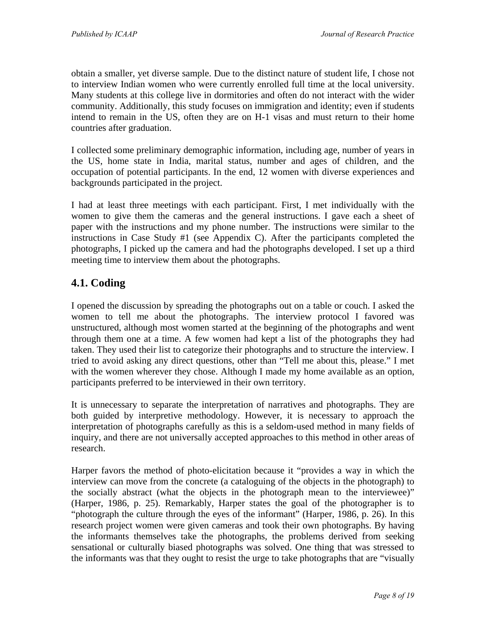obtain a smaller, yet diverse sample. Due to the distinct nature of student life, I chose not to interview Indian women who were currently enrolled full time at the local university. Many students at this college live in dormitories and often do not interact with the wider community. Additionally, this study focuses on immigration and identity; even if students intend to remain in the US, often they are on H-1 visas and must return to their home countries after graduation.

I collected some preliminary demographic information, including age, number of years in the US, home state in India, marital status, number and ages of children, and the occupation of potential participants. In the end, 12 women with diverse experiences and backgrounds participated in the project.

I had at least three meetings with each participant. First, I met individually with the women to give them the cameras and the general instructions. I gave each a sheet of paper with the instructions and my phone number. The instructions were similar to the instructions in Case Study #1 (see Appendix C). After the participants completed the photographs, I picked up the camera and had the photographs developed. I set up a third meeting time to interview them about the photographs.

## **4.1. Coding**

I opened the discussion by spreading the photographs out on a table or couch. I asked the women to tell me about the photographs. The interview protocol I favored was unstructured, although most women started at the beginning of the photographs and went through them one at a time. A few women had kept a list of the photographs they had taken. They used their list to categorize their photographs and to structure the interview. I tried to avoid asking any direct questions, other than "Tell me about this, please." I met with the women wherever they chose. Although I made my home available as an option, participants preferred to be interviewed in their own territory.

It is unnecessary to separate the interpretation of narratives and photographs. They are both guided by interpretive methodology. However, it is necessary to approach the interpretation of photographs carefully as this is a seldom-used method in many fields of inquiry, and there are not universally accepted approaches to this method in other areas of research.

Harper favors the method of photo-elicitation because it "provides a way in which the interview can move from the concrete (a cataloguing of the objects in the photograph) to the socially abstract (what the objects in the photograph mean to the interviewee)" (Harper, 1986, p. 25). Remarkably, Harper states the goal of the photographer is to "photograph the culture through the eyes of the informant" (Harper, 1986, p. 26). In this research project women were given cameras and took their own photographs. By having the informants themselves take the photographs, the problems derived from seeking sensational or culturally biased photographs was solved. One thing that was stressed to the informants was that they ought to resist the urge to take photographs that are "visually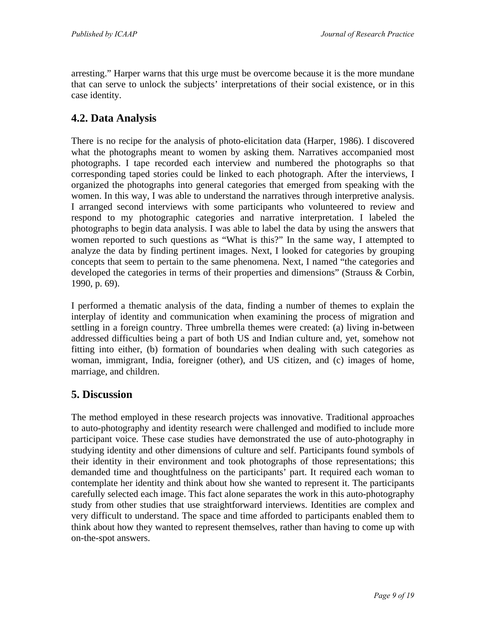arresting." Harper warns that this urge must be overcome because it is the more mundane that can serve to unlock the subjects' interpretations of their social existence, or in this case identity.

#### **4.2. Data Analysis**

There is no recipe for the analysis of photo-elicitation data (Harper, 1986). I discovered what the photographs meant to women by asking them. Narratives accompanied most photographs. I tape recorded each interview and numbered the photographs so that corresponding taped stories could be linked to each photograph. After the interviews, I organized the photographs into general categories that emerged from speaking with the women. In this way, I was able to understand the narratives through interpretive analysis. I arranged second interviews with some participants who volunteered to review and respond to my photographic categories and narrative interpretation. I labeled the photographs to begin data analysis. I was able to label the data by using the answers that women reported to such questions as "What is this?" In the same way, I attempted to analyze the data by finding pertinent images. Next, I looked for categories by grouping concepts that seem to pertain to the same phenomena. Next, I named "the categories and developed the categories in terms of their properties and dimensions" (Strauss & Corbin, 1990, p. 69).

I performed a thematic analysis of the data, finding a number of themes to explain the interplay of identity and communication when examining the process of migration and settling in a foreign country. Three umbrella themes were created: (a) living in-between addressed difficulties being a part of both US and Indian culture and, yet, somehow not fitting into either, (b) formation of boundaries when dealing with such categories as woman, immigrant, India, foreigner (other), and US citizen, and (c) images of home, marriage, and children.

#### **5. Discussion**

The method employed in these research projects was innovative. Traditional approaches to auto-photography and identity research were challenged and modified to include more participant voice. These case studies have demonstrated the use of auto-photography in studying identity and other dimensions of culture and self. Participants found symbols of their identity in their environment and took photographs of those representations; this demanded time and thoughtfulness on the participants' part. It required each woman to contemplate her identity and think about how she wanted to represent it. The participants carefully selected each image. This fact alone separates the work in this auto-photography study from other studies that use straightforward interviews. Identities are complex and very difficult to understand. The space and time afforded to participants enabled them to think about how they wanted to represent themselves, rather than having to come up with on-the-spot answers.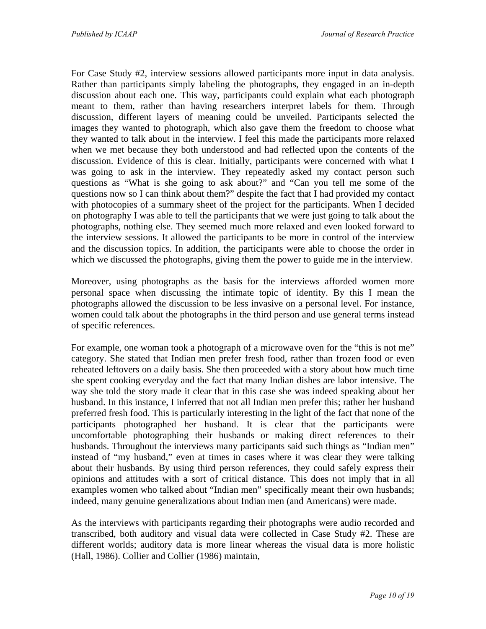For Case Study #2, interview sessions allowed participants more input in data analysis. Rather than participants simply labeling the photographs, they engaged in an in-depth discussion about each one. This way, participants could explain what each photograph meant to them, rather than having researchers interpret labels for them. Through discussion, different layers of meaning could be unveiled. Participants selected the images they wanted to photograph, which also gave them the freedom to choose what they wanted to talk about in the interview. I feel this made the participants more relaxed when we met because they both understood and had reflected upon the contents of the discussion. Evidence of this is clear. Initially, participants were concerned with what I was going to ask in the interview. They repeatedly asked my contact person such questions as "What is she going to ask about?" and "Can you tell me some of the questions now so I can think about them?" despite the fact that I had provided my contact with photocopies of a summary sheet of the project for the participants. When I decided on photography I was able to tell the participants that we were just going to talk about the photographs, nothing else. They seemed much more relaxed and even looked forward to the interview sessions. It allowed the participants to be more in control of the interview and the discussion topics. In addition, the participants were able to choose the order in which we discussed the photographs, giving them the power to guide me in the interview.

Moreover, using photographs as the basis for the interviews afforded women more personal space when discussing the intimate topic of identity. By this I mean the photographs allowed the discussion to be less invasive on a personal level. For instance, women could talk about the photographs in the third person and use general terms instead of specific references.

For example, one woman took a photograph of a microwave oven for the "this is not me" category. She stated that Indian men prefer fresh food, rather than frozen food or even reheated leftovers on a daily basis. She then proceeded with a story about how much time she spent cooking everyday and the fact that many Indian dishes are labor intensive. The way she told the story made it clear that in this case she was indeed speaking about her husband. In this instance, I inferred that not all Indian men prefer this; rather her husband preferred fresh food. This is particularly interesting in the light of the fact that none of the participants photographed her husband. It is clear that the participants were uncomfortable photographing their husbands or making direct references to their husbands. Throughout the interviews many participants said such things as "Indian men" instead of "my husband," even at times in cases where it was clear they were talking about their husbands. By using third person references, they could safely express their opinions and attitudes with a sort of critical distance. This does not imply that in all examples women who talked about "Indian men" specifically meant their own husbands; indeed, many genuine generalizations about Indian men (and Americans) were made.

As the interviews with participants regarding their photographs were audio recorded and transcribed, both auditory and visual data were collected in Case Study #2. These are different worlds; auditory data is more linear whereas the visual data is more holistic (Hall, 1986). Collier and Collier (1986) maintain,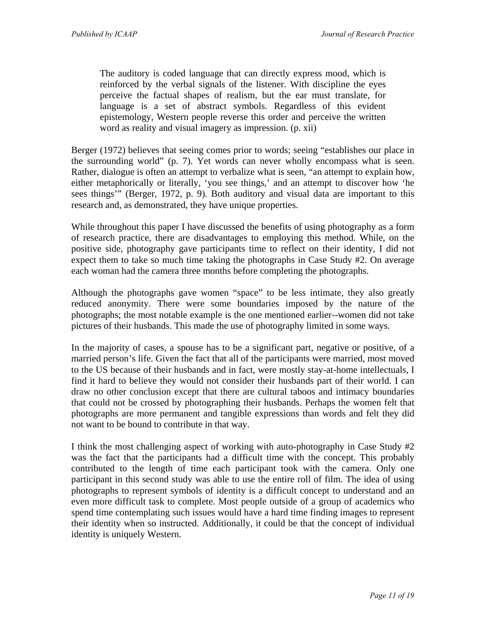The auditory is coded language that can directly express mood, which is reinforced by the verbal signals of the listener. With discipline the eyes perceive the factual shapes of realism, but the ear must translate, for language is a set of abstract symbols. Regardless of this evident epistemology, Western people reverse this order and perceive the written word as reality and visual imagery as impression. (p. xii)

Berger (1972) believes that seeing comes prior to words; seeing "establishes our place in the surrounding world" (p. 7). Yet words can never wholly encompass what is seen. Rather, dialogue is often an attempt to verbalize what is seen, "an attempt to explain how, either metaphorically or literally, 'you see things,' and an attempt to discover how 'he sees things'" (Berger, 1972, p. 9). Both auditory and visual data are important to this research and, as demonstrated, they have unique properties.

While throughout this paper I have discussed the benefits of using photography as a form of research practice, there are disadvantages to employing this method. While, on the positive side, photography gave participants time to reflect on their identity, I did not expect them to take so much time taking the photographs in Case Study #2. On average each woman had the camera three months before completing the photographs.

Although the photographs gave women "space" to be less intimate, they also greatly reduced anonymity. There were some boundaries imposed by the nature of the photographs; the most notable example is the one mentioned earlier--women did not take pictures of their husbands. This made the use of photography limited in some ways.

In the majority of cases, a spouse has to be a significant part, negative or positive, of a married person's life. Given the fact that all of the participants were married, most moved to the US because of their husbands and in fact, were mostly stay-at-home intellectuals, I find it hard to believe they would not consider their husbands part of their world. I can draw no other conclusion except that there are cultural taboos and intimacy boundaries that could not be crossed by photographing their husbands. Perhaps the women felt that photographs are more permanent and tangible expressions than words and felt they did not want to be bound to contribute in that way.

I think the most challenging aspect of working with auto-photography in Case Study #2 was the fact that the participants had a difficult time with the concept. This probably contributed to the length of time each participant took with the camera. Only one participant in this second study was able to use the entire roll of film. The idea of using photographs to represent symbols of identity is a difficult concept to understand and an even more difficult task to complete. Most people outside of a group of academics who spend time contemplating such issues would have a hard time finding images to represent their identity when so instructed. Additionally, it could be that the concept of individual identity is uniquely Western.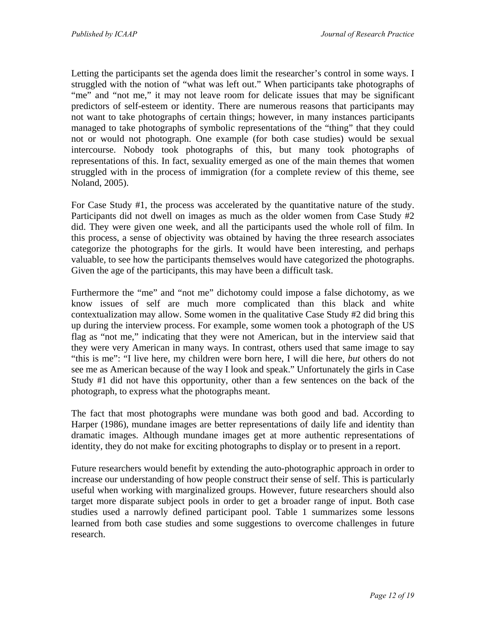Letting the participants set the agenda does limit the researcher's control in some ways. I struggled with the notion of "what was left out." When participants take photographs of "me" and "not me," it may not leave room for delicate issues that may be significant predictors of self-esteem or identity. There are numerous reasons that participants may not want to take photographs of certain things; however, in many instances participants managed to take photographs of symbolic representations of the "thing" that they could not or would not photograph. One example (for both case studies) would be sexual intercourse. Nobody took photographs of this, but many took photographs of representations of this. In fact, sexuality emerged as one of the main themes that women struggled with in the process of immigration (for a complete review of this theme, see Noland, 2005).

For Case Study #1, the process was accelerated by the quantitative nature of the study. Participants did not dwell on images as much as the older women from Case Study #2 did. They were given one week, and all the participants used the whole roll of film. In this process, a sense of objectivity was obtained by having the three research associates categorize the photographs for the girls. It would have been interesting, and perhaps valuable, to see how the participants themselves would have categorized the photographs. Given the age of the participants, this may have been a difficult task.

Furthermore the "me" and "not me" dichotomy could impose a false dichotomy, as we know issues of self are much more complicated than this black and white contextualization may allow. Some women in the qualitative Case Study #2 did bring this up during the interview process. For example, some women took a photograph of the US flag as "not me," indicating that they were not American, but in the interview said that they were very American in many ways. In contrast, others used that same image to say "this is me": "I live here, my children were born here, I will die here, *but* others do not see me as American because of the way I look and speak." Unfortunately the girls in Case Study #1 did not have this opportunity, other than a few sentences on the back of the photograph, to express what the photographs meant.

The fact that most photographs were mundane was both good and bad. According to Harper (1986), mundane images are better representations of daily life and identity than dramatic images. Although mundane images get at more authentic representations of identity, they do not make for exciting photographs to display or to present in a report.

Future researchers would benefit by extending the auto-photographic approach in order to increase our understanding of how people construct their sense of self. This is particularly useful when working with marginalized groups. However, future researchers should also target more disparate subject pools in order to get a broader range of input. Both case studies used a narrowly defined participant pool. Table 1 summarizes some lessons learned from both case studies and some suggestions to overcome challenges in future research.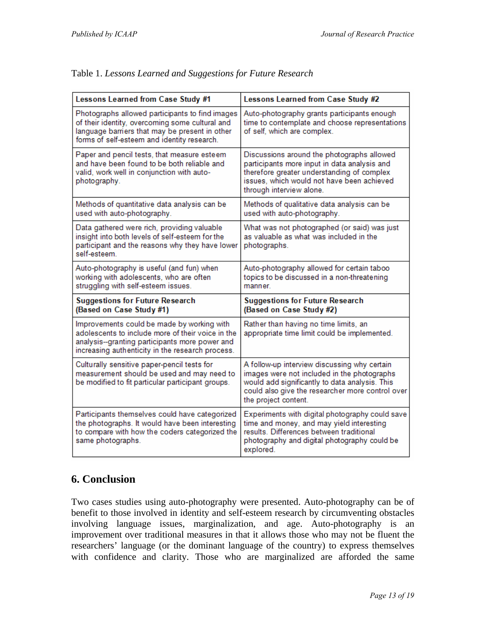h

| Lessons Learned from Case Study #1                                                                                                                                                                    | Lessons Learned from Case Study #2                                                                                                                                                                                        |  |
|-------------------------------------------------------------------------------------------------------------------------------------------------------------------------------------------------------|---------------------------------------------------------------------------------------------------------------------------------------------------------------------------------------------------------------------------|--|
| Photographs allowed participants to find images<br>of their identity, overcoming some cultural and<br>language barriers that may be present in other<br>forms of self-esteem and identity research.   | Auto-photography grants participants enough<br>time to contemplate and choose representations<br>of self, which are complex.                                                                                              |  |
| Paper and pencil tests, that measure esteem<br>and have been found to be both reliable and<br>valid, work well in conjunction with auto-<br>photography.                                              | Discussions around the photographs allowed<br>participants more input in data analysis and<br>therefore greater understanding of complex<br>issues, which would not have been achieved<br>through interview alone.        |  |
| Methods of quantitative data analysis can be<br>used with auto-photography.                                                                                                                           | Methods of qualitative data analysis can be<br>used with auto-photography.                                                                                                                                                |  |
| Data gathered were rich, providing valuable<br>insight into both levels of self-esteem for the<br>participant and the reasons why they have lower<br>self-esteem.                                     | What was not photographed (or said) was just<br>as valuable as what was included in the<br>photographs.                                                                                                                   |  |
| Auto-photography is useful (and fun) when<br>working with adolescents, who are often<br>struggling with self-esteem issues.                                                                           | Auto-photography allowed for certain taboo<br>topics to be discussed in a non-threatening<br>manner.                                                                                                                      |  |
| <b>Suggestions for Future Research</b><br>(Based on Case Study #1)                                                                                                                                    | <b>Suggestions for Future Research</b><br>(Based on Case Study #2)                                                                                                                                                        |  |
| Improvements could be made by working with<br>adolescents to include more of their voice in the<br>analysis--granting participants more power and<br>increasing authenticity in the research process. | Rather than having no time limits, an<br>appropriate time limit could be implemented.                                                                                                                                     |  |
| Culturally sensitive paper-pencil tests for<br>measurement should be used and may need to<br>be modified to fit particular participant groups.                                                        | A follow-up interview discussing why certain<br>images were not included in the photographs<br>would add significantly to data analysis. This<br>could also give the researcher more control over<br>the project content. |  |
| Participants themselves could have categorized<br>the photographs. It would have been interesting<br>to compare with how the coders categorized the<br>same photographs.                              | Experiments with digital photography could save<br>time and money, and may yield interesting<br>results. Differences between traditional<br>photography and digital photography could be<br>explored.                     |  |

#### Table 1. *Lessons Learned and Suggestions for Future Research*

## **6. Conclusion**

Two cases studies using auto-photography were presented. Auto-photography can be of benefit to those involved in identity and self-esteem research by circumventing obstacles involving language issues, marginalization, and age. Auto-photography is an improvement over traditional measures in that it allows those who may not be fluent the researchers' language (or the dominant language of the country) to express themselves with confidence and clarity. Those who are marginalized are afforded the same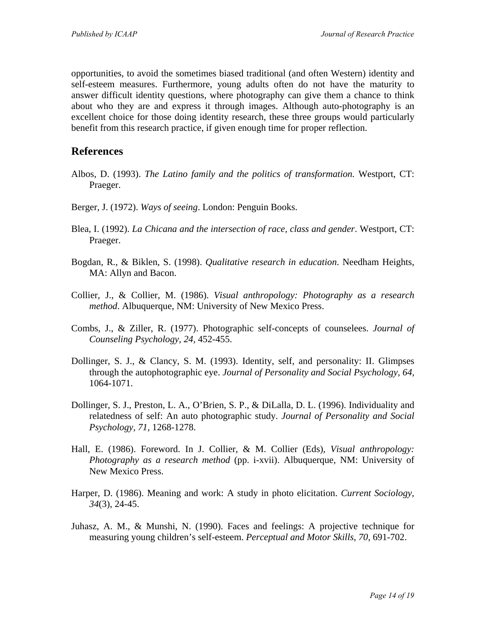opportunities, to avoid the sometimes biased traditional (and often Western) identity and self-esteem measures. Furthermore, young adults often do not have the maturity to answer difficult identity questions, where photography can give them a chance to think about who they are and express it through images. Although auto-photography is an excellent choice for those doing identity research, these three groups would particularly benefit from this research practice, if given enough time for proper reflection.

#### **References**

- Albos, D. (1993). *The Latino family and the politics of transformation.* Westport, CT: Praeger.
- Berger, J. (1972). *Ways of seeing*. London: Penguin Books.
- Blea, I. (1992). *La Chicana and the intersection of race, class and gender*. Westport, CT: Praeger.
- Bogdan, R., & Biklen, S. (1998). *Qualitative research in education*. Needham Heights, MA: Allyn and Bacon.
- Collier, J., & Collier, M. (1986). *Visual anthropology: Photography as a research method*. Albuquerque, NM: University of New Mexico Press.
- Combs, J., & Ziller, R. (1977). Photographic self-concepts of counselees. *Journal of Counseling Psychology, 24,* 452-455.
- Dollinger, S. J., & Clancy, S. M. (1993). Identity, self, and personality: II. Glimpses through the autophotographic eye. *Journal of Personality and Social Psychology, 64,* 1064-1071.
- Dollinger, S. J., Preston, L. A., O'Brien, S. P., & DiLalla, D. L. (1996). Individuality and relatedness of self: An auto photographic study. *Journal of Personality and Social Psychology, 71,* 1268-1278.
- Hall, E. (1986). Foreword. In J. Collier, & M. Collier (Eds), *Visual anthropology: Photography as a research method* (pp. *i-xvii*). Albuquerque, NM: University of New Mexico Press.
- Harper, D. (1986). Meaning and work: A study in photo elicitation. *Current Sociology, 34*(3), 24-45.
- Juhasz, A. M., & Munshi, N. (1990). Faces and feelings: A projective technique for measuring young children's self-esteem. *Perceptual and Motor Skills, 70,* 691-702.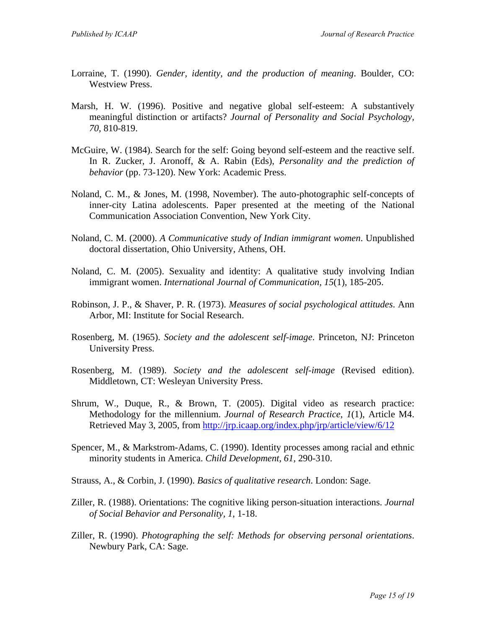- Lorraine, T. (1990). *Gender, identity, and the production of meaning*. Boulder, CO: Westview Press.
- Marsh, H. W. (1996). Positive and negative global self-esteem: A substantively meaningful distinction or artifacts? *Journal of Personality and Social Psychology, 70,* 810-819.
- McGuire, W. (1984). Search for the self: Going beyond self-esteem and the reactive self. In R. Zucker, J. Aronoff, & A. Rabin (Eds), *Personality and the prediction of behavior* (pp. 73-120). New York: Academic Press.
- Noland, C. M., & Jones, M. (1998, November). The auto-photographic self-concepts of inner-city Latina adolescents. Paper presented at the meeting of the National Communication Association Convention, New York City.
- Noland, C. M. (2000). *A Communicative study of Indian immigrant women*. Unpublished doctoral dissertation, Ohio University, Athens, OH.
- Noland, C. M. (2005). Sexuality and identity: A qualitative study involving Indian immigrant women. *International Journal of Communication, 15*(1), 185-205.
- Robinson, J. P., & Shaver, P. R. (1973). *Measures of social psychological attitudes*. Ann Arbor, MI: Institute for Social Research.
- Rosenberg, M. (1965). *Society and the adolescent self-image*. Princeton, NJ: Princeton University Press.
- Rosenberg, M. (1989). *Society and the adolescent self-image* (Revised edition). Middletown, CT: Wesleyan University Press.
- Shrum, W., Duque, R., & Brown, T. (2005). Digital video as research practice: Methodology for the millennium. *Journal of Research Practice*, *1*(1), Article M4. Retrieved May 3, 2005, from<http://jrp.icaap.org/index.php/jrp/article/view/6/12>
- Spencer, M., & Markstrom-Adams, C. (1990). Identity processes among racial and ethnic minority students in America. *Child Development, 61,* 290-310.
- Strauss, A., & Corbin, J. (1990). *Basics of qualitative research*. London: Sage.
- Ziller, R. (1988). Orientations: The cognitive liking person-situation interactions. *Journal of Social Behavior and Personality, 1,* 1-18.
- Ziller, R. (1990). *Photographing the self: Methods for observing personal orientations*. Newbury Park, CA: Sage.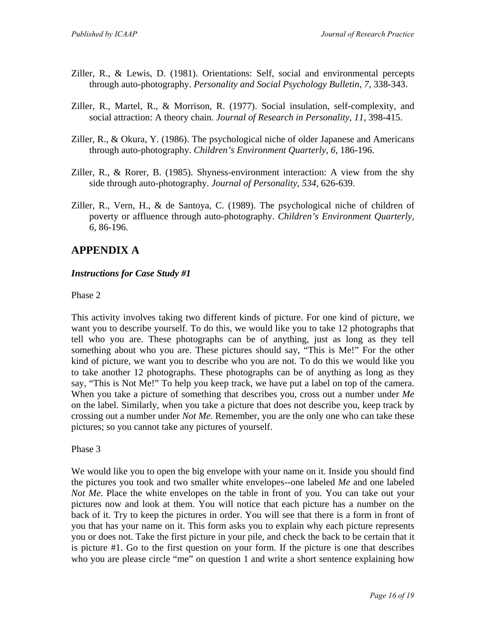- Ziller, R., & Lewis, D. (1981). Orientations: Self, social and environmental percepts through auto-photography. *Personality and Social Psychology Bulletin, 7,* 338-343.
- Ziller, R., Martel, R., & Morrison, R. (1977). Social insulation, self-complexity, and social attraction: A theory chain. *Journal of Research in Personality, 11,* 398-415.
- Ziller, R., & Okura, Y. (1986). The psychological niche of older Japanese and Americans through auto-photography. *Children's Environment Quarterly, 6,* 186-196.
- Ziller, R., & Rorer, B. (1985). Shyness-environment interaction: A view from the shy side through auto-photography. *Journal of Personality, 534,* 626-639.
- Ziller, R., Vern, H., & de Santoya, C. (1989). The psychological niche of children of poverty or affluence through auto-photography. *Children's Environment Quarterly, 6,* 86-196.

# **APPENDIX A**

#### *Instructions for Case Study #1*

#### Phase 2

This activity involves taking two different kinds of picture. For one kind of picture, we want you to describe yourself. To do this, we would like you to take 12 photographs that tell who you are. These photographs can be of anything, just as long as they tell something about who you are. These pictures should say, "This is Me!" For the other kind of picture, we want you to describe who you are not. To do this we would like you to take another 12 photographs. These photographs can be of anything as long as they say, "This is Not Me!" To help you keep track, we have put a label on top of the camera. When you take a picture of something that describes you, cross out a number under *Me* on the label. Similarly, when you take a picture that does not describe you, keep track by crossing out a number under *Not Me.* Remember, you are the only one who can take these pictures; so you cannot take any pictures of yourself.

Phase 3

We would like you to open the big envelope with your name on it. Inside you should find the pictures you took and two smaller white envelopes--one labeled *Me* and one labeled *Not Me*. Place the white envelopes on the table in front of you. You can take out your pictures now and look at them. You will notice that each picture has a number on the back of it. Try to keep the pictures in order. You will see that there is a form in front of you that has your name on it. This form asks you to explain why each picture represents you or does not. Take the first picture in your pile, and check the back to be certain that it is picture #1. Go to the first question on your form. If the picture is one that describes who you are please circle "me" on question 1 and write a short sentence explaining how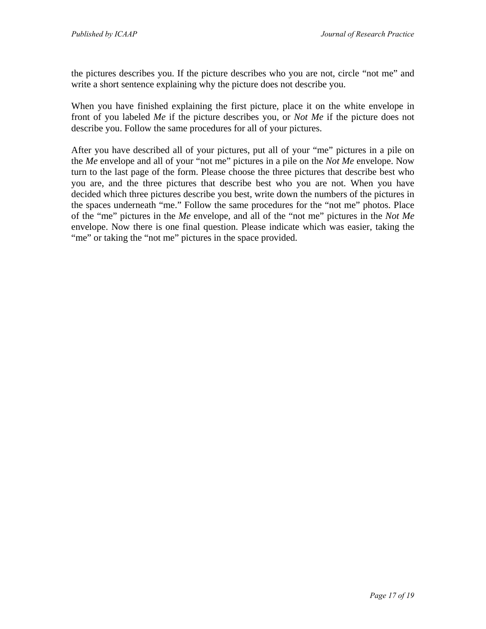the pictures describes you. If the picture describes who you are not, circle "not me" and write a short sentence explaining why the picture does not describe you.

When you have finished explaining the first picture, place it on the white envelope in front of you labeled *Me* if the picture describes you, or *Not Me* if the picture does not describe you. Follow the same procedures for all of your pictures.

After you have described all of your pictures, put all of your "me" pictures in a pile on the *Me* envelope and all of your "not me" pictures in a pile on the *Not Me* envelope. Now turn to the last page of the form. Please choose the three pictures that describe best who you are, and the three pictures that describe best who you are not. When you have decided which three pictures describe you best, write down the numbers of the pictures in the spaces underneath "me." Follow the same procedures for the "not me" photos. Place of the "me" pictures in the *Me* envelope, and all of the "not me" pictures in the *Not Me* envelope. Now there is one final question. Please indicate which was easier, taking the "me" or taking the "not me" pictures in the space provided.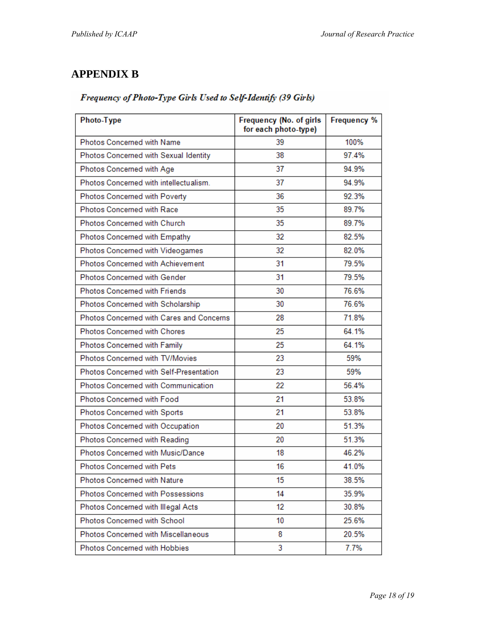# **APPENDIX B**

#### Frequency of Photo-Type Girls Used to Self-Identify (39 Girls)

| Photo-Type                               | Frequency (No. of girls<br>for each photo-type) | <b>Frequency %</b> |
|------------------------------------------|-------------------------------------------------|--------------------|
| Photos Concerned with Name               | 39                                              | 100%               |
| Photos Concerned with Sexual Identity    | 38                                              | 97.4%              |
| Photos Concerned with Age                | 37                                              | 94.9%              |
| Photos Concerned with intellectualism.   | 37                                              | 94.9%              |
| Photos Concerned with Poverty            | 36                                              | 92.3%              |
| Photos Concerned with Race               | 35                                              | 89.7%              |
| Photos Concerned with Church             | 35                                              | 89.7%              |
| Photos Concerned with Empathy            | 32                                              | 82.5%              |
| Photos Concerned with Videogames         | 32                                              | 82.0%              |
| Photos Concerned with Achievement        | 31                                              | 79.5%              |
| <b>Photos Concerned with Gender</b>      | 31                                              | 79.5%              |
| <b>Photos Concerned with Friends</b>     | 30                                              | 76.6%              |
| Photos Concerned with Scholarship        | 30                                              | 76.6%              |
| Photos Concerned with Cares and Concerns | 28                                              | 71.8%              |
| <b>Photos Concerned with Chores</b>      | 25                                              | 64.1%              |
| Photos Concerned with Family             | 25                                              | 64.1%              |
| Photos Concerned with TV/Movies          | 23                                              | 59%                |
| Photos Concerned with Self-Presentation  | 23                                              | 59%                |
| Photos Concerned with Communication      | 22                                              | 56.4%              |
| Photos Concerned with Food               | 21                                              | 53.8%              |
| Photos Concerned with Sports             | 21                                              | 53.8%              |
| Photos Concerned with Occupation         | 20                                              | 51.3%              |
| Photos Concerned with Reading            | 20                                              | 51.3%              |
| Photos Concerned with Music/Dance        | 18                                              | 46.2%              |
| Photos Concerned with Pets               | 16                                              | 41.0%              |
| Photos Concerned with Nature             | 15                                              | 38.5%              |
| Photos Concerned with Possessions        | 14                                              | 35.9%              |
| Photos Concerned with Illegal Acts       | 12                                              | 30.8%              |
| Photos Concerned with School             | 10                                              | 25.6%              |
| Photos Concerned with Miscellaneous      | 8                                               | 20.5%              |
| Photos Concerned with Hobbies            | 3                                               | 7.7%               |